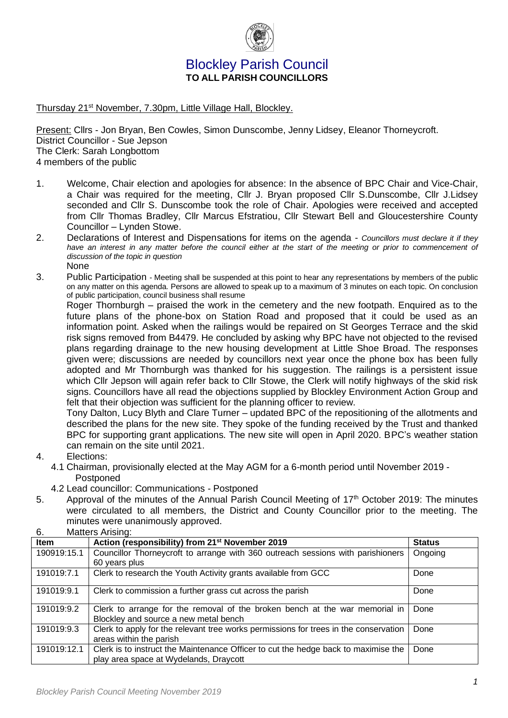

## Blockley Parish Council **TO ALL PARISH COUNCILLORS**

Thursday 21st November, 7.30pm, Little Village Hall, Blockley.

Present: Cllrs - Jon Bryan, Ben Cowles, Simon Dunscombe, Jenny Lidsey, Eleanor Thorneycroft. District Councillor - Sue Jepson The Clerk: Sarah Longbottom 4 members of the public

- 1. Welcome, Chair election and apologies for absence: In the absence of BPC Chair and Vice-Chair, a Chair was required for the meeting, Cllr J. Bryan proposed Cllr S.Dunscombe, Cllr J.Lidsey seconded and Cllr S. Dunscombe took the role of Chair. Apologies were received and accepted from Cllr Thomas Bradley, Cllr Marcus Efstratiou, Cllr Stewart Bell and Gloucestershire County Councillor – Lynden Stowe.
- 2. Declarations of Interest and Dispensations for items on the agenda *Councillors must declare it if they*  have an interest in any matter before the council either at the start of the meeting or prior to commencement of *discussion of the topic in question*
- None
- 3. Public Participation Meeting shall be suspended at this point to hear any representations by members of the public on any matter on this agenda. Persons are allowed to speak up to a maximum of 3 minutes on each topic. On conclusion of public participation, council business shall resume

Roger Thornburgh – praised the work in the cemetery and the new footpath. Enquired as to the future plans of the phone-box on Station Road and proposed that it could be used as an information point. Asked when the railings would be repaired on St Georges Terrace and the skid risk signs removed from B4479. He concluded by asking why BPC have not objected to the revised plans regarding drainage to the new housing development at Little Shoe Broad. The responses given were; discussions are needed by councillors next year once the phone box has been fully adopted and Mr Thornburgh was thanked for his suggestion. The railings is a persistent issue which Cllr Jepson will again refer back to Cllr Stowe, the Clerk will notify highways of the skid risk signs. Councillors have all read the objections supplied by Blockley Environment Action Group and felt that their objection was sufficient for the planning officer to review.

Tony Dalton, Lucy Blyth and Clare Turner – updated BPC of the repositioning of the allotments and described the plans for the new site. They spoke of the funding received by the Trust and thanked BPC for supporting grant applications. The new site will open in April 2020. BPC's weather station can remain on the site until 2021.

- 4. Elections:
	- 4.1 Chairman, provisionally elected at the May AGM for a 6-month period until November 2019 **Postponed** 
		- 4.2 Lead councillor: Communications Postponed
- 5. Approval of the minutes of the Annual Parish Council Meeting of 17<sup>th</sup> October 2019: The minutes were circulated to all members, the District and County Councillor prior to the meeting. The minutes were unanimously approved. 6. Matters Arising:

| v.<br>Malicis Alisiily. |                                                                                                                              |               |  |  |
|-------------------------|------------------------------------------------------------------------------------------------------------------------------|---------------|--|--|
| <b>Item</b>             | Action (responsibility) from 21 <sup>st</sup> November 2019                                                                  | <b>Status</b> |  |  |
| 190919:15.1             | Councillor Thorneycroft to arrange with 360 outreach sessions with parishioners<br>60 years plus                             | Ongoing       |  |  |
| 191019:7.1              | Clerk to research the Youth Activity grants available from GCC                                                               | Done          |  |  |
| 191019:9.1              | Clerk to commission a further grass cut across the parish                                                                    | Done          |  |  |
| 191019:9.2              | Clerk to arrange for the removal of the broken bench at the war memorial in<br>Blockley and source a new metal bench         | Done          |  |  |
| 191019:9.3              | Clerk to apply for the relevant tree works permissions for trees in the conservation<br>areas within the parish              | Done          |  |  |
| 191019:12.1             | Clerk is to instruct the Maintenance Officer to cut the hedge back to maximise the<br>play area space at Wydelands, Draycott | Done          |  |  |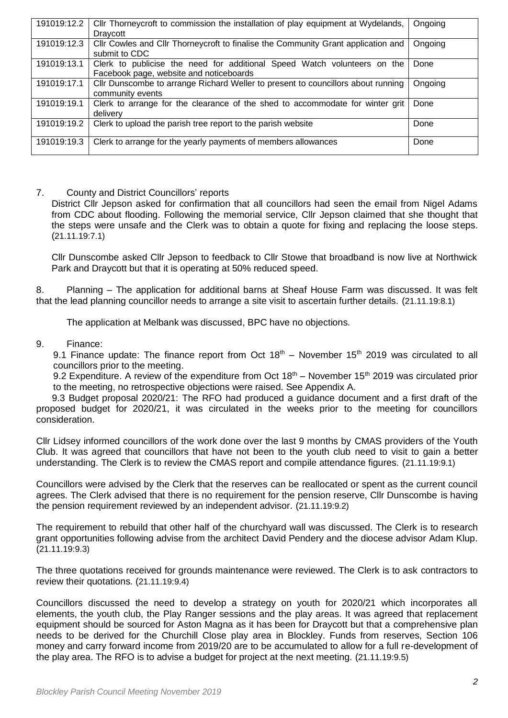| 191019:12.2 | Cllr Thorneycroft to commission the installation of play equipment at Wydelands,<br>Draycott                        | Ongoing |
|-------------|---------------------------------------------------------------------------------------------------------------------|---------|
| 191019:12.3 | CIIr Cowles and CIIr Thorneycroft to finalise the Community Grant application and<br>submit to CDC                  | Ongoing |
| 191019:13.1 | Clerk to publicise the need for additional Speed Watch volunteers on the<br>Facebook page, website and noticeboards | Done    |
| 191019:17.1 | Cllr Dunscombe to arrange Richard Weller to present to councillors about running<br>community events                | Ongoing |
| 191019:19.1 | Clerk to arrange for the clearance of the shed to accommodate for winter grit<br>delivery                           | Done    |
| 191019:19.2 | Clerk to upload the parish tree report to the parish website                                                        | Done    |
| 191019:19.3 | Clerk to arrange for the yearly payments of members allowances                                                      | Done    |

## 7. County and District Councillors' reports

District Cllr Jepson asked for confirmation that all councillors had seen the email from Nigel Adams from CDC about flooding. Following the memorial service, Cllr Jepson claimed that she thought that the steps were unsafe and the Clerk was to obtain a quote for fixing and replacing the loose steps. (21.11.19:7.1)

Cllr Dunscombe asked Cllr Jepson to feedback to Cllr Stowe that broadband is now live at Northwick Park and Draycott but that it is operating at 50% reduced speed.

8. Planning – The application for additional barns at Sheaf House Farm was discussed. It was felt that the lead planning councillor needs to arrange a site visit to ascertain further details. (21.11.19:8.1)

The application at Melbank was discussed, BPC have no objections.

## 9. Finance:

9.1 Finance update: The finance report from Oct  $18<sup>th</sup>$  – November  $15<sup>th</sup>$  2019 was circulated to all councillors prior to the meeting.

9.2 Expenditure. A review of the expenditure from Oct  $18<sup>th</sup>$  – November  $15<sup>th</sup>$  2019 was circulated prior to the meeting, no retrospective objections were raised. See Appendix A.

 9.3 Budget proposal 2020/21: The RFO had produced a guidance document and a first draft of the proposed budget for 2020/21, it was circulated in the weeks prior to the meeting for councillors consideration.

Cllr Lidsey informed councillors of the work done over the last 9 months by CMAS providers of the Youth Club. It was agreed that councillors that have not been to the youth club need to visit to gain a better understanding. The Clerk is to review the CMAS report and compile attendance figures. (21.11.19:9.1)

Councillors were advised by the Clerk that the reserves can be reallocated or spent as the current council agrees. The Clerk advised that there is no requirement for the pension reserve, Cllr Dunscombe is having the pension requirement reviewed by an independent advisor. (21.11.19:9.2)

The requirement to rebuild that other half of the churchyard wall was discussed. The Clerk is to research grant opportunities following advise from the architect David Pendery and the diocese advisor Adam Klup. (21.11.19:9.3)

The three quotations received for grounds maintenance were reviewed. The Clerk is to ask contractors to review their quotations. (21.11.19:9.4)

Councillors discussed the need to develop a strategy on youth for 2020/21 which incorporates all elements, the youth club, the Play Ranger sessions and the play areas. It was agreed that replacement equipment should be sourced for Aston Magna as it has been for Draycott but that a comprehensive plan needs to be derived for the Churchill Close play area in Blockley. Funds from reserves, Section 106 money and carry forward income from 2019/20 are to be accumulated to allow for a full re-development of the play area. The RFO is to advise a budget for project at the next meeting. (21.11.19:9.5)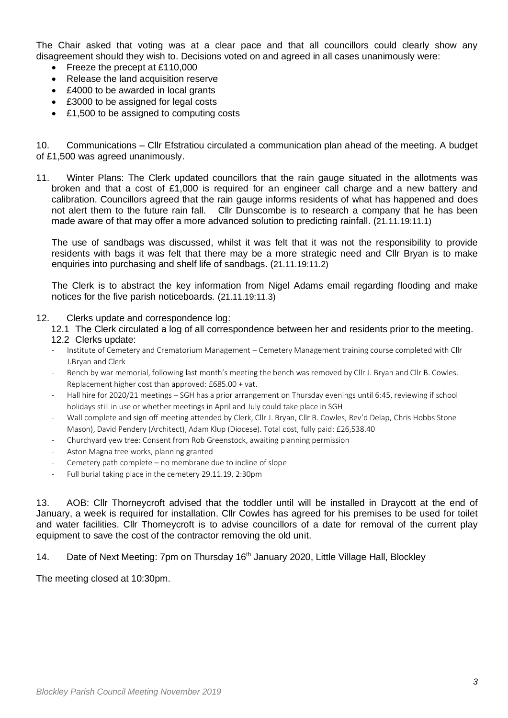The Chair asked that voting was at a clear pace and that all councillors could clearly show any disagreement should they wish to. Decisions voted on and agreed in all cases unanimously were:

- Freeze the precept at £110,000
- Release the land acquisition reserve
- £4000 to be awarded in local grants
- £3000 to be assigned for legal costs
- £1,500 to be assigned to computing costs

10. Communications – Cllr Efstratiou circulated a communication plan ahead of the meeting. A budget of £1,500 was agreed unanimously.

11. Winter Plans: The Clerk updated councillors that the rain gauge situated in the allotments was broken and that a cost of £1,000 is required for an engineer call charge and a new battery and calibration. Councillors agreed that the rain gauge informs residents of what has happened and does not alert them to the future rain fall. Cllr Dunscombe is to research a company that he has been made aware of that may offer a more advanced solution to predicting rainfall. (21.11.19:11.1)

The use of sandbags was discussed, whilst it was felt that it was not the responsibility to provide residents with bags it was felt that there may be a more strategic need and Cllr Bryan is to make enquiries into purchasing and shelf life of sandbags. (21.11.19:11.2)

The Clerk is to abstract the key information from Nigel Adams email regarding flooding and make notices for the five parish noticeboards. (21.11.19:11.3)

## 12. Clerks update and correspondence log:

- 12.1 The Clerk circulated a log of all correspondence between her and residents prior to the meeting. 12.2 Clerks update:
- Institute of Cemetery and Crematorium Management Cemetery Management training course completed with Cllr J.Bryan and Clerk
- Bench by war memorial, following last month's meeting the bench was removed by Cllr J. Bryan and Cllr B. Cowles. Replacement higher cost than approved: £685.00 + vat.
- Hall hire for 2020/21 meetings SGH has a prior arrangement on Thursday evenings until 6:45, reviewing if school holidays still in use or whether meetings in April and July could take place in SGH
- Wall complete and sign off meeting attended by Clerk, Cllr J. Bryan, Cllr B. Cowles, Rev'd Delap, Chris Hobbs Stone Mason), David Pendery (Architect), Adam Klup (Diocese). Total cost, fully paid: £26,538.40
- Churchyard yew tree: Consent from Rob Greenstock, awaiting planning permission
- Aston Magna tree works, planning granted
- Cemetery path complete no membrane due to incline of slope
- Full burial taking place in the cemetery 29.11.19, 2:30pm

13. AOB: Cllr Thorneycroft advised that the toddler until will be installed in Draycott at the end of January, a week is required for installation. Cllr Cowles has agreed for his premises to be used for toilet and water facilities. Cllr Thorneycroft is to advise councillors of a date for removal of the current play equipment to save the cost of the contractor removing the old unit.

14. Date of Next Meeting: 7pm on Thursday 16<sup>th</sup> January 2020, Little Village Hall, Blockley

The meeting closed at 10:30pm.